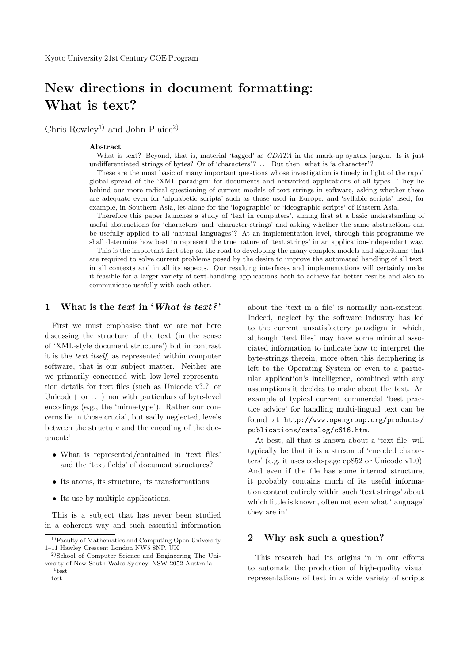# New directions in document formatting: What is text?

Chris Rowley<sup>1)</sup> and John Plaice<sup>2)</sup>

#### Abstract

What is text? Beyond, that is, material 'tagged' as *CDATA* in the mark-up syntax jargon. Is it just undifferentiated strings of bytes? Or of 'characters'? . . . But then, what is 'a character'?

These are the most basic of many important questions whose investigation is timely in light of the rapid global spread of the 'XML paradigm' for documents and networked applications of all types. They lie behind our more radical questioning of current models of text strings in software, asking whether these are adequate even for 'alphabetic scripts' such as those used in Europe, and 'syllabic scripts' used, for example, in Southern Asia, let alone for the 'logographic' or 'ideographic scripts' of Eastern Asia.

Therefore this paper launches a study of 'text in computers', aiming first at a basic understanding of useful abstractions for 'characters' and 'character-strings' and asking whether the same abstractions can be usefully applied to all 'natural languages'? At an implementation level, through this programme we shall determine how best to represent the true nature of 'text strings' in an application-independent way.

This is the important first step on the road to developing the many complex models and algorithms that are required to solve current problems posed by the desire to improve the automated handling of all text, in all contexts and in all its aspects. Our resulting interfaces and implementations will certainly make it feasible for a larger variety of text-handling applications both to achieve far better results and also to communicate usefully with each other.

## 1 What is the text in 'What is text?'

First we must emphasise that we are not here discussing the structure of the text (in the sense of 'XML-style document structure') but in contrast it is the text itself, as represented within computer software, that is our subject matter. Neither are we primarily concerned with low-level representation details for text files (such as Unicode v?.? or Unicode + or  $\dots$ ) nor with particulars of byte-level encodings (e.g., the 'mime-type'). Rather our concerns lie in those crucial, but sadly neglected, levels between the structure and the encoding of the document: $1$ 

- What is represented/contained in 'text files' and the 'text fields' of document structures?
- Its atoms, its structure, its transformations.
- Its use by multiple applications.

This is a subject that has never been studied in a coherent way and such essential information about the 'text in a file' is normally non-existent. Indeed, neglect by the software industry has led to the current unsatisfactory paradigm in which, although 'text files' may have some minimal associated information to indicate how to interpret the byte-strings therein, more often this deciphering is left to the Operating System or even to a particular application's intelligence, combined with any assumptions it decides to make about the text. An example of typical current commercial 'best practice advice' for handling multi-lingual text can be found at http://www.opengroup.org/products/ publications/catalog/c616.htm.

At best, all that is known about a 'text file' will typically be that it is a stream of 'encoded characters' (e.g. it uses code-page cp852 or Unicode v1.0). And even if the file has some internal structure, it probably contains much of its useful information content entirely within such 'text strings' about which little is known, often not even what 'language' they are in!

## 2 Why ask such a question?

This research had its origins in in our efforts to automate the production of high-quality visual representations of text in a wide variety of scripts

<sup>&</sup>lt;sup>1)</sup>Faculty of Mathematics and Computing Open University 1–11 Hawley Crescent London NW5 8NP, UK

<sup>&</sup>lt;sup>2)</sup>School of Computer Science and Engineering The University of New South Wales Sydney, NSW 2052 Australia

<sup>1</sup> test test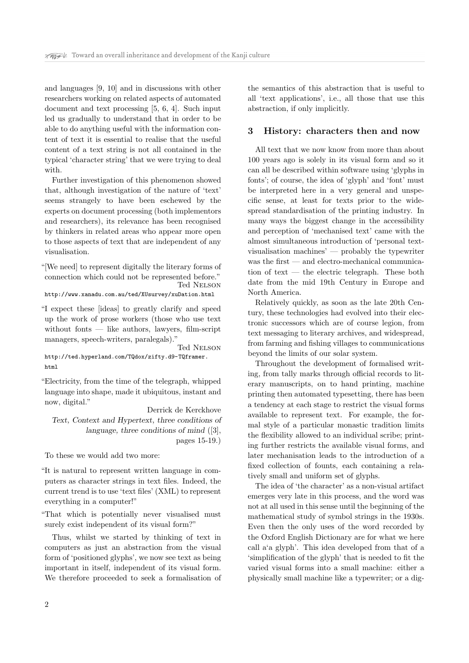and languages [9, 10] and in discussions with other researchers working on related aspects of automated document and text processing [5, 6, 4]. Such input led us gradually to understand that in order to be able to do anything useful with the information content of text it is essential to realise that the useful content of a text string is not all contained in the typical 'character string' that we were trying to deal with.

Further investigation of this phenomenon showed that, although investigation of the nature of 'text' seems strangely to have been eschewed by the experts on document processing (both implementors and researchers), its relevance has been recognised by thinkers in related areas who appear more open to those aspects of text that are independent of any visualisation.

"[We need] to represent digitally the literary forms of connection which could not be represented before." Ted Nelson

http://www.xanadu.com.au/ted/XUsurvey/xuDation.html

"I expect these [ideas] to greatly clarify and speed up the work of prose workers (those who use text without fonts — like authors, lawyers, film-script managers, speech-writers, paralegals)."

Ted Nelson http://ted.hyperland.com/TQdox/zifty.d9-TQframer. html

"Electricity, from the time of the telegraph, whipped language into shape, made it ubiquitous, instant and now, digital."

Derrick de Kerckhove Text, Context and Hypertext, three conditions of language, three conditions of mind ([3], pages 15-19.)

To these we would add two more:

"It is natural to represent written language in computers as character strings in text files. Indeed, the current trend is to use 'text files' (XML) to represent everything in a computer!"

"That which is potentially never visualised must surely exist independent of its visual form?"

Thus, whilst we started by thinking of text in computers as just an abstraction from the visual form of 'positioned glyphs', we now see text as being important in itself, independent of its visual form. We therefore proceeded to seek a formalisation of the semantics of this abstraction that is useful to all 'text applications', i.e., all those that use this abstraction, if only implicitly.

#### 3 History: characters then and now

All text that we now know from more than about 100 years ago is solely in its visual form and so it can all be described within software using 'glyphs in fonts'; of course, the idea of 'glyph' and 'font' must be interpreted here in a very general and unspecific sense, at least for texts prior to the widespread standardisation of the printing industry. In many ways the biggest change in the accessibility and perception of 'mechanised text' came with the almost simultaneous introduction of 'personal textvisualisation machines' — probably the typewriter was the first — and electro-mechanical communication of text  $-$  the electric telegraph. These both date from the mid 19th Century in Europe and North America.

Relatively quickly, as soon as the late 20th Century, these technologies had evolved into their electronic successors which are of course legion, from text messaging to literary archives, and widespread, from farming and fishing villages to communications beyond the limits of our solar system.

Throughout the development of formalised writing, from tally marks through official records to literary manuscripts, on to hand printing, machine printing then automated typesetting, there has been a tendency at each stage to restrict the visual forms available to represent text. For example, the formal style of a particular monastic tradition limits the flexibility allowed to an individual scribe; printing further restricts the available visual forms, and later mechanisation leads to the introduction of a fixed collection of founts, each containing a relatively small and uniform set of glyphs.

The idea of 'the character' as a non-visual artifact emerges very late in this process, and the word was not at all used in this sense until the beginning of the mathematical study of symbol strings in the 1930s. Even then the only uses of the word recorded by the Oxford English Dictionary are for what we here call a'a glyph'. This idea developed from that of a 'simplification of the glyph' that is needed to fit the varied visual forms into a small machine: either a physically small machine like a typewriter; or a dig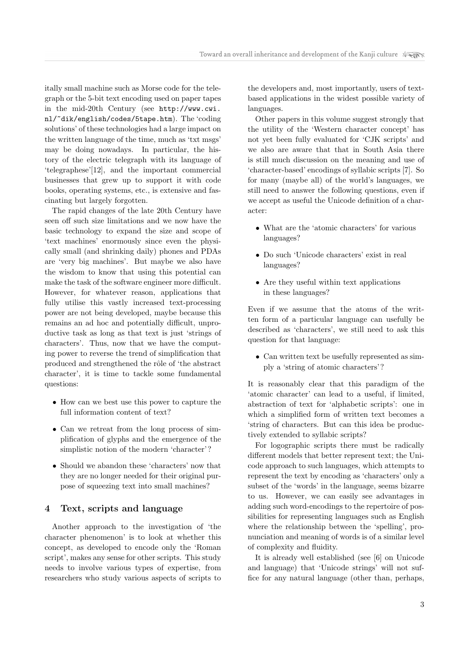itally small machine such as Morse code for the telegraph or the 5-bit text encoding used on paper tapes in the mid-20th Century (see http://www.cwi. nl/~dik/english/codes/5tape.htm). The 'coding solutions' of these technologies had a large impact on the written language of the time, much as 'txt msgs' may be doing nowadays. In particular, the history of the electric telegraph with its language of 'telegraphese'[12], and the important commercial businesses that grew up to support it with code books, operating systems, etc., is extensive and fascinating but largely forgotten.

The rapid changes of the late 20th Century have seen off such size limitations and we now have the basic technology to expand the size and scope of 'text machines' enormously since even the physically small (and shrinking daily) phones and PDAs are 'very big machines'. But maybe we also have the wisdom to know that using this potential can make the task of the software engineer more difficult. However, for whatever reason, applications that fully utilise this vastly increased text-processing power are not being developed, maybe because this remains an ad hoc and potentially difficult, unproductive task as long as that text is just 'strings of characters'. Thus, now that we have the computing power to reverse the trend of simplification that produced and strengthened the rôle of 'the abstract character', it is time to tackle some fundamental questions:

- How can we best use this power to capture the full information content of text?
- Can we retreat from the long process of simplification of glyphs and the emergence of the simplistic notion of the modern 'character'?
- Should we abandon these 'characters' now that they are no longer needed for their original purpose of squeezing text into small machines?

## 4 Text, scripts and language

Another approach to the investigation of 'the character phenomenon' is to look at whether this concept, as developed to encode only the 'Roman script', makes any sense for other scripts. This study needs to involve various types of expertise, from researchers who study various aspects of scripts to

the developers and, most importantly, users of textbased applications in the widest possible variety of languages.

Other papers in this volume suggest strongly that the utility of the 'Western character concept' has not yet been fully evaluated for 'CJK scripts' and we also are aware that that in South Asia there is still much discussion on the meaning and use of 'character-based' encodings of syllabic scripts [7]. So for many (maybe all) of the world's languages, we still need to answer the following questions, even if we accept as useful the Unicode definition of a character:

- What are the 'atomic characters' for various languages?
- Do such 'Unicode characters' exist in real languages?
- Are they useful within text applications in these languages?

Even if we assume that the atoms of the written form of a particular language can usefully be described as 'characters', we still need to ask this question for that language:

• Can written text be usefully represented as simply a 'string of atomic characters'?

It is reasonably clear that this paradigm of the 'atomic character' can lead to a useful, if limited, abstraction of text for 'alphabetic scripts': one in which a simplified form of written text becomes a 'string of characters. But can this idea be productively extended to syllabic scripts?

For logographic scripts there must be radically different models that better represent text; the Unicode approach to such languages, which attempts to represent the text by encoding as 'characters' only a subset of the 'words' in the language, seems bizarre to us. However, we can easily see advantages in adding such word-encodings to the repertoire of possibilities for representing languages such as English where the relationship between the 'spelling', pronunciation and meaning of words is of a similar level of complexity and fluidity.

It is already well established (see [6] on Unicode and language) that 'Unicode strings' will not suffice for any natural language (other than, perhaps,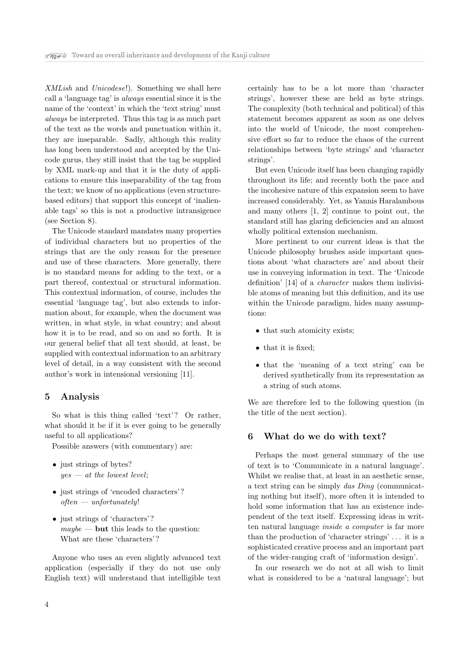XMLish and Unicodese!). Something we shall here call a 'language tag' is always essential since it is the name of the 'context' in which the 'text string' must always be interpreted. Thus this tag is as much part of the text as the words and punctuation within it, they are inseparable. Sadly, although this reality has long been understood and accepted by the Unicode gurus, they still insist that the tag be supplied by XML mark-up and that it is the duty of applications to ensure this inseparability of the tag from the text; we know of no applications (even structurebased editors) that support this concept of 'inalienable tags' so this is not a productive intransigence (see Section 8).

The Unicode standard mandates many properties of individual characters but no properties of the strings that are the only reason for the presence and use of these characters. More generally, there is no standard means for adding to the text, or a part thereof, contextual or structural information. This contextual information, of course, includes the essential 'language tag', but also extends to information about, for example, when the document was written, in what style, in what country; and about how it is to be read, and so on and so forth. It is our general belief that all text should, at least, be supplied with contextual information to an arbitrary level of detail, in a way consistent with the second author's work in intensional versioning [11].

## 5 Analysis

So what is this thing called 'text'? Or rather, what should it be if it is ever going to be generally useful to all applications?

Possible answers (with commentary) are:

- just strings of bytes?  $yes - at the lowest level;$
- just strings of 'encoded characters'?  $often - unfortunately!$
- just strings of 'characters'?  $maybe$  — but this leads to the question: What are these 'characters'?

Anyone who uses an even slightly advanced text application (especially if they do not use only English text) will understand that intelligible text certainly has to be a lot more than 'character strings', however these are held as byte strings. The complexity (both technical and political) of this statement becomes apparent as soon as one delves into the world of Unicode, the most comprehensive effort so far to reduce the chaos of the current relationships between 'byte strings' and 'character strings'.

But even Unicode itself has been changing rapidly throughout its life; and recently both the pace and the incohesive nature of this expansion seem to have increased considerably. Yet, as Yannis Haralambous and many others [1, 2] continue to point out, the standard still has glaring deficiencies and an almost wholly political extension mechanism.

More pertinent to our current ideas is that the Unicode philosophy brushes aside important questions about 'what characters are' and about their use in conveying information in text. The 'Unicode definition' [14] of a character makes them indivisible atoms of meaning but this definition, and its use within the Unicode paradigm, hides many assumptions:

- that such atomicity exists;
- that it is fixed;
- that the 'meaning of a text string' can be derived synthetically from its representation as a string of such atoms.

We are therefore led to the following question (in the title of the next section).

## 6 What do we do with text?

Perhaps the most general summary of the use of text is to 'Communicate in a natural language'. Whilst we realise that, at least in an aesthetic sense, a text string can be simply das Ding (communicating nothing but itself), more often it is intended to hold some information that has an existence independent of the text itself. Expressing ideas in written natural language inside a computer is far more than the production of 'character strings' . . . it is a sophisticated creative process and an important part of the wider-ranging craft of 'information design'.

In our research we do not at all wish to limit what is considered to be a 'natural language'; but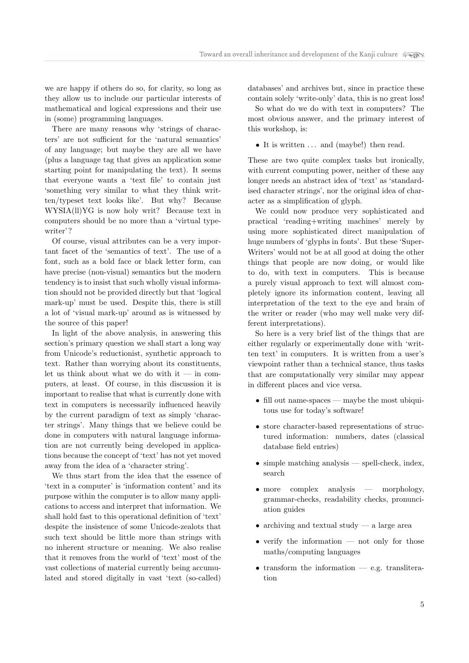we are happy if others do so, for clarity, so long as they allow us to include our particular interests of mathematical and logical expressions and their use in (some) programming languages.

There are many reasons why 'strings of characters' are not sufficient for the 'natural semantics' of any language; but maybe they are all we have (plus a language tag that gives an application some starting point for manipulating the text). It seems that everyone wants a 'text file' to contain just 'something very similar to what they think written/typeset text looks like'. But why? Because WYSIA(ll)YG is now holy writ? Because text in computers should be no more than a 'virtual typewriter'?

Of course, visual attributes can be a very important facet of the 'semantics of text'. The use of a font, such as a bold face or black letter form, can have precise (non-visual) semantics but the modern tendency is to insist that such wholly visual information should not be provided directly but that 'logical mark-up' must be used. Despite this, there is still a lot of 'visual mark-up' around as is witnessed by the source of this paper!

In light of the above analysis, in answering this section's primary question we shall start a long way from Unicode's reductionist, synthetic approach to text. Rather than worrying about its constituents, let us think about what we do with it — in computers, at least. Of course, in this discussion it is important to realise that what is currently done with text in computers is necessarily influenced heavily by the current paradigm of text as simply 'character strings'. Many things that we believe could be done in computers with natural language information are not currently being developed in applications because the concept of 'text' has not yet moved away from the idea of a 'character string'.

We thus start from the idea that the essence of 'text in a computer' is 'information content' and its purpose within the computer is to allow many applications to access and interpret that information. We shall hold fast to this operational definition of 'text' despite the insistence of some Unicode-zealots that such text should be little more than strings with no inherent structure or meaning. We also realise that it removes from the world of 'text' most of the vast collections of material currently being accumulated and stored digitally in vast 'text (so-called)

databases' and archives but, since in practice these contain solely 'write-only' data, this is no great loss!

So what do we do with text in computers? The most obvious answer, and the primary interest of this workshop, is:

• It is written ... and (maybe!) then read.

These are two quite complex tasks but ironically, with current computing power, neither of these any longer needs an abstract idea of 'text' as 'standardised character strings', nor the original idea of character as a simplification of glyph.

We could now produce very sophisticated and practical 'reading+writing machines' merely by using more sophisticated direct manipulation of huge numbers of 'glyphs in fonts'. But these 'Super-Writers' would not be at all good at doing the other things that people are now doing, or would like to do, with text in computers. This is because a purely visual approach to text will almost completely ignore its information content, leaving all interpretation of the text to the eye and brain of the writer or reader (who may well make very different interpretations).

So here is a very brief list of the things that are either regularly or experimentally done with 'written text' in computers. It is written from a user's viewpoint rather than a technical stance, thus tasks that are computationally very similar may appear in different places and vice versa.

- fill out name-spaces maybe the most ubiquitous use for today's software!
- store character-based representations of structured information: numbers, dates (classical database field entries)
- simple matching analysis spell-check, index, search
- more complex analysis morphology, grammar-checks, readability checks, pronunciation guides
- archiving and textual study a large area
- verify the information not only for those maths/computing languages
- $\bullet$  transform the information e.g. transliteration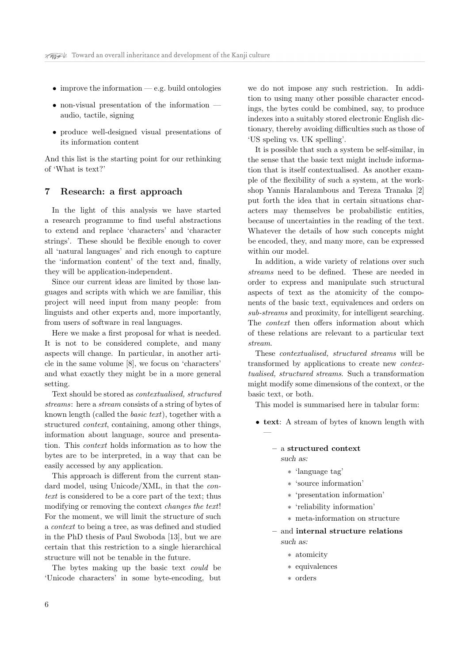- improve the information e.g. build ontologies
- non-visual presentation of the information audio, tactile, signing
- produce well-designed visual presentations of its information content

And this list is the starting point for our rethinking of 'What is text?'

## 7 Research: a first approach

In the light of this analysis we have started a research programme to find useful abstractions to extend and replace 'characters' and 'character strings'. These should be flexible enough to cover all 'natural languages' and rich enough to capture the 'information content' of the text and, finally, they will be application-independent.

Since our current ideas are limited by those languages and scripts with which we are familiar, this project will need input from many people: from linguists and other experts and, more importantly, from users of software in real languages.

Here we make a first proposal for what is needed. It is not to be considered complete, and many aspects will change. In particular, in another article in the same volume [8], we focus on 'characters' and what exactly they might be in a more general setting.

Text should be stored as contextualised, structured streams: here a stream consists of a string of bytes of known length (called the basic text), together with a structured context, containing, among other things, information about language, source and presentation. This context holds information as to how the bytes are to be interpreted, in a way that can be easily accessed by any application.

This approach is different from the current standard model, using Unicode/XML, in that the context is considered to be a core part of the text; thus modifying or removing the context changes the text! For the moment, we will limit the structure of such a context to being a tree, as was defined and studied in the PhD thesis of Paul Swoboda [13], but we are certain that this restriction to a single hierarchical structure will not be tenable in the future.

The bytes making up the basic text could be 'Unicode characters' in some byte-encoding, but

we do not impose any such restriction. In addition to using many other possible character encodings, the bytes could be combined, say, to produce indexes into a suitably stored electronic English dictionary, thereby avoiding difficulties such as those of 'US speling vs. UK spelling'.

It is possible that such a system be self-similar, in the sense that the basic text might include information that is itself contextualised. As another example of the flexibility of such a system, at the workshop Yannis Haralambous and Tereza Tranaka [2] put forth the idea that in certain situations characters may themselves be probabilistic entities, because of uncertainties in the reading of the text. Whatever the details of how such concepts might be encoded, they, and many more, can be expressed within our model.

In addition, a wide variety of relations over such streams need to be defined. These are needed in order to express and manipulate such structural aspects of text as the atomicity of the components of the basic text, equivalences and orders on sub-streams and proximity, for intelligent searching. The context then offers information about which of these relations are relevant to a particular text stream.

These contextualised, structured streams will be transformed by applications to create new contextualised, structured streams. Such a transformation might modify some dimensions of the context, or the basic text, or both.

This model is summarised here in tabular form:

• text: A stream of bytes of known length with

#### – a structured context such as:

—

- ∗ 'language tag'
- ∗ 'source information'
- ∗ 'presentation information'
- ∗ 'reliability information'
- ∗ meta-information on structure
- and internal structure relations such as:
	- ∗ atomicity
	- ∗ equivalences
	- ∗ orders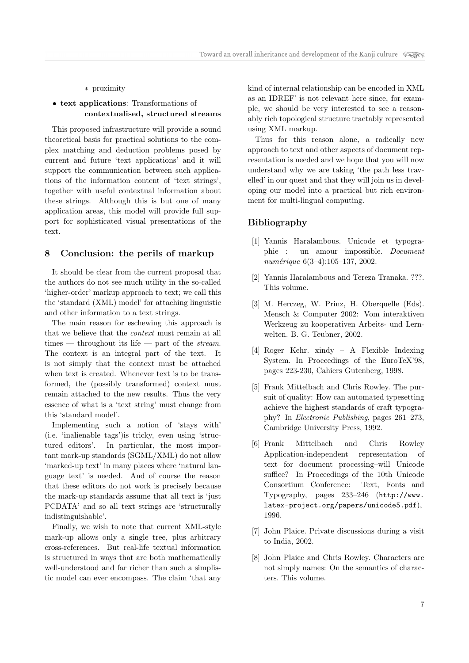#### ∗ proximity

## • text applications: Transformations of contextualised, structured streams

This proposed infrastructure will provide a sound theoretical basis for practical solutions to the complex matching and deduction problems posed by current and future 'text applications' and it will support the communication between such applications of the information content of 'text strings', together with useful contextual information about these strings. Although this is but one of many application areas, this model will provide full support for sophisticated visual presentations of the text.

#### 8 Conclusion: the perils of markup

It should be clear from the current proposal that the authors do not see much utility in the so-called 'higher-order' markup approach to text; we call this the 'standard (XML) model' for attaching linguistic and other information to a text strings.

The main reason for eschewing this approach is that we believe that the context must remain at all times — throughout its life — part of the *stream*. The context is an integral part of the text. It is not simply that the context must be attached when text is created. Whenever text is to be transformed, the (possibly transformed) context must remain attached to the new results. Thus the very essence of what is a 'text string' must change from this 'standard model'.

Implementing such a notion of 'stays with' (i.e. 'inalienable tags')is tricky, even using 'structured editors'. In particular, the most important mark-up standards (SGML/XML) do not allow 'marked-up text' in many places where 'natural language text' is needed. And of course the reason that these editors do not work is precisely because the mark-up standards assume that all text is 'just PCDATA' and so all text strings are 'structurally indistinguishable'.

Finally, we wish to note that current XML-style mark-up allows only a single tree, plus arbitrary cross-references. But real-life textual information is structured in ways that are both mathematically well-understood and far richer than such a simplistic model can ever encompass. The claim 'that any

kind of internal relationship can be encoded in XML as an IDREF' is not relevant here since, for example, we should be very interested to see a reasonably rich topological structure tractably represented using XML markup.

Thus for this reason alone, a radically new approach to text and other aspects of document representation is needed and we hope that you will now understand why we are taking 'the path less travelled' in our quest and that they will join us in developing our model into a practical but rich environment for multi-lingual computing.

## Bibliography

- [1] Yannis Haralambous. Unicode et typographie : un amour impossible. Document numérique  $6(3-4):105-137, 2002.$
- [2] Yannis Haralambous and Tereza Tranaka. ???. This volume.
- [3] M. Herczeg, W. Prinz, H. Oberquelle (Eds). Mensch & Computer 2002: Vom interaktiven Werkzeug zu kooperativen Arbeits- und Lernwelten. B. G. Teubner, 2002.
- [4] Roger Kehr. xindy A Flexible Indexing System. In Proceedings of the EuroTeX'98, pages 223-230, Cahiers Gutenberg, 1998.
- [5] Frank Mittelbach and Chris Rowley. The pursuit of quality: How can automated typesetting achieve the highest standards of craft typography? In Electronic Publishing, pages 261–273, Cambridge University Press, 1992.
- [6] Frank Mittelbach and Chris Rowley Application-independent representation of text for document processing–will Unicode suffice? In Proceedings of the 10th Unicode Consortium Conference: Text, Fonts and Typography, pages 233–246 (http://www. latex-project.org/papers/unicode5.pdf), 1996.
- [7] John Plaice. Private discussions during a visit to India, 2002.
- [8] John Plaice and Chris Rowley. Characters are not simply names: On the semantics of characters. This volume.